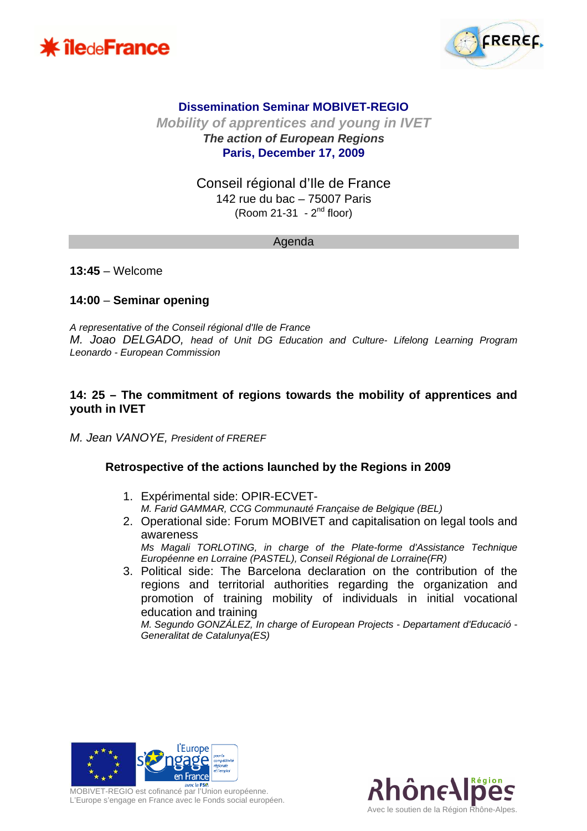



# **Dissemination Seminar MOBIVET-REGIO**

**Mobility of apprentices and young in IVET The action of European Regions Paris, December 17, 2009** 

> Conseil régional d'Ile de France 142 rue du bac – 75007 Paris  $(Room 21-31 - 2<sup>nd</sup> floor)$

#### Agenda

**13:45** – Welcome

### **14:00** – **Seminar opening**

A representative of the Conseil régional d'Ile de France M. Joao DELGADO, head of Unit DG Education and Culture- Lifelong Learning Program Leonardo - European Commission

### **14: 25 – The commitment of regions towards the mobility of apprentices and youth in IVET**

M. Jean VANOYE, President of FREREF

#### **Retrospective of the actions launched by the Regions in 2009**

- 1. Expérimental side: OPIR-ECVET-M. Farid GAMMAR, CCG Communauté Française de Belgique (BEL)
- 2. Operational side: Forum MOBIVET and capitalisation on legal tools and awareness Ms Magali TORLOTING, in charge of the Plate-forme d'Assistance Technique Européenne en Lorraine (PASTEL), Conseil Régional de Lorraine(FR)
- 3. Political side: The Barcelona declaration on the contribution of the regions and territorial authorities regarding the organization and promotion of training mobility of individuals in initial vocational education and training

M. Segundo GONZÁLEZ, In charge of European Projects - Departament d'Educació - Generalitat de Catalunya(ES)